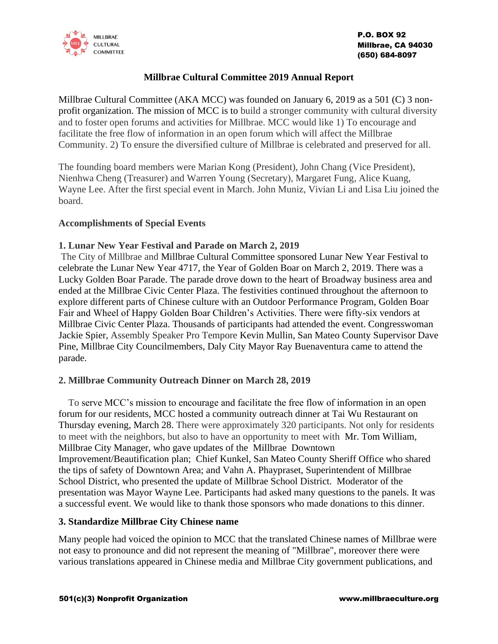

# **Millbrae Cultural Committee 2019 Annual Report**

Millbrae Cultural Committee (AKA MCC) was founded on January 6, 2019 as a 501 (C) 3 nonprofit organization. The mission of MCC is to build a stronger community with cultural diversity and to foster open forums and activities for Millbrae. MCC would like 1) To encourage and facilitate the free flow of information in an open forum which will affect the Millbrae Community. 2) To ensure the diversified culture of Millbrae is celebrated and preserved for all.

The founding board members were Marian Kong (President), John Chang (Vice President), Nienhwa Cheng (Treasurer) and Warren Young (Secretary), Margaret Fung, Alice Kuang, Wayne Lee. After the first special event in March. John Muniz, Vivian Li and Lisa Liu joined the board.

### **Accomplishments of Special Events**

### **1. Lunar New Year Festival and Parade on March 2, 2019**

The City of Millbrae and Millbrae Cultural Committee sponsored Lunar New Year Festival to celebrate the Lunar New Year 4717, the Year of Golden Boar on March 2, 2019. There was a Lucky Golden Boar Parade. The parade drove down to the heart of Broadway business area and ended at the Millbrae Civic Center Plaza. The festivities continued throughout the afternoon to explore different parts of Chinese culture with an Outdoor Performance Program, Golden Boar Fair and Wheel of Happy Golden Boar Children's Activities. There were fifty-six vendors at Millbrae Civic Center Plaza. Thousands of participants had attended the event. Congresswoman Jackie Spier, Assembly Speaker Pro Tempore Kevin Mullin, San Mateo County Supervisor Dave Pine, Millbrae City Councilmembers, Daly City Mayor Ray Buenaventura came to attend the parade.

#### **2. Millbrae Community Outreach Dinner on March 28, 2019**

 To serve MCC's mission to encourage and facilitate the free flow of information in an open forum for our residents, MCC hosted a community outreach dinner at Tai Wu Restaurant on Thursday evening, March 28. There were approximately 320 participants. Not only for residents to meet with the neighbors, but also to have an opportunity to meet with Mr. Tom William, Millbrae City Manager, who gave updates of the Millbrae Downtown Improvement/Beautification plan; Chief Kunkel, San Mateo County Sheriff Office who shared the tips of safety of Downtown Area; and Vahn A. Phaypraset, Superintendent of Millbrae School District, who presented the update of Millbrae School District. Moderator of the presentation was Mayor Wayne Lee. Participants had asked many questions to the panels. It was a successful event. We would like to thank those sponsors who made donations to this dinner.

#### **3. Standardize Millbrae City Chinese name**

Many people had voiced the opinion to MCC that the translated Chinese names of Millbrae were not easy to pronounce and did not represent the meaning of "Millbrae", moreover there were various translations appeared in Chinese media and Millbrae City government publications, and